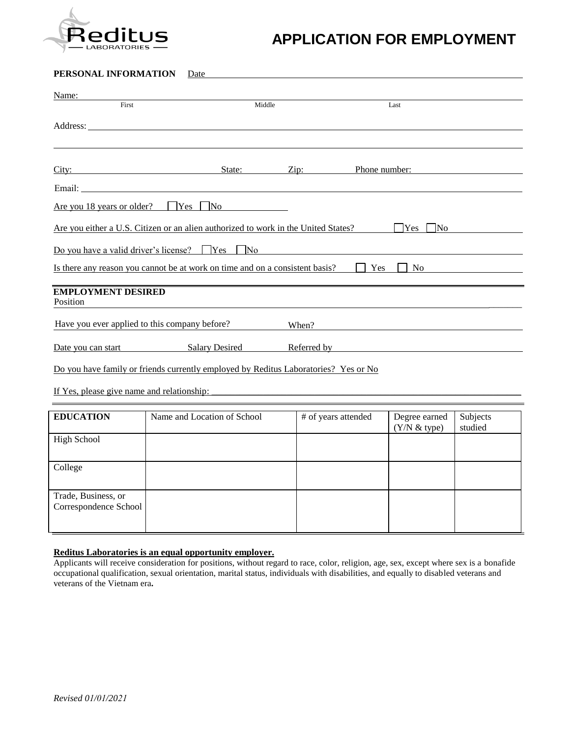

# **APPLICATION FOR EMPLOYMENT**

### **PERSONAL INFORMATION** Date

| Name:                                                                                                                                                                                                                                                               |                                                                                                                                                                                                                                                                                                                                                                                               |                     |                               |                     |  |
|---------------------------------------------------------------------------------------------------------------------------------------------------------------------------------------------------------------------------------------------------------------------|-----------------------------------------------------------------------------------------------------------------------------------------------------------------------------------------------------------------------------------------------------------------------------------------------------------------------------------------------------------------------------------------------|---------------------|-------------------------------|---------------------|--|
| First                                                                                                                                                                                                                                                               | Middle                                                                                                                                                                                                                                                                                                                                                                                        |                     | Last                          |                     |  |
|                                                                                                                                                                                                                                                                     |                                                                                                                                                                                                                                                                                                                                                                                               |                     |                               |                     |  |
|                                                                                                                                                                                                                                                                     |                                                                                                                                                                                                                                                                                                                                                                                               |                     |                               |                     |  |
|                                                                                                                                                                                                                                                                     |                                                                                                                                                                                                                                                                                                                                                                                               |                     |                               |                     |  |
| City:                                                                                                                                                                                                                                                               | State:                                                                                                                                                                                                                                                                                                                                                                                        | $\chi$ ip:          | Phone number:                 |                     |  |
|                                                                                                                                                                                                                                                                     | Email: Email: The Contract of the Contract of the Contract of the Contract of the Contract of the Contract of the Contract of the Contract of the Contract of the Contract of the Contract of the Contract of the Contract of                                                                                                                                                                 |                     |                               |                     |  |
| Are you 18 years or older?                                                                                                                                                                                                                                          | Yes  <br>$\overline{N}$ $\overline{O}$ $\overline{N}$ $\overline{O}$ $\overline{N}$ $\overline{O}$ $\overline{N}$ $\overline{O}$ $\overline{N}$ $\overline{O}$ $\overline{N}$ $\overline{O}$ $\overline{N}$ $\overline{O}$ $\overline{N}$ $\overline{O}$ $\overline{N}$ $\overline{O}$ $\overline{N}$ $\overline{O}$ $\overline{N}$ $\overline{O}$ $\overline{N}$ $\overline{O}$ $\overline{$ |                     |                               |                     |  |
| Are you either a U.S. Citizen or an alien authorized to work in the United States?<br>Yes<br>N <sub>0</sub>                                                                                                                                                         |                                                                                                                                                                                                                                                                                                                                                                                               |                     |                               |                     |  |
|                                                                                                                                                                                                                                                                     | Do you have a valid driver's license? $\Box$ Yes $\Box$<br>$\overline{\rm No}$                                                                                                                                                                                                                                                                                                                |                     |                               |                     |  |
|                                                                                                                                                                                                                                                                     | Is there any reason you cannot be at work on time and on a consistent basis?                                                                                                                                                                                                                                                                                                                  | <b>Yes</b>          | N <sub>0</sub>                |                     |  |
|                                                                                                                                                                                                                                                                     |                                                                                                                                                                                                                                                                                                                                                                                               |                     |                               |                     |  |
| <b>EMPLOYMENT DESIRED</b><br>Position                                                                                                                                                                                                                               |                                                                                                                                                                                                                                                                                                                                                                                               |                     |                               |                     |  |
| Have you ever applied to this company before?<br>When?                                                                                                                                                                                                              |                                                                                                                                                                                                                                                                                                                                                                                               |                     |                               |                     |  |
| Date you can start Salary Desired<br>Referred by Theorem 2012 and 2013 and 2014 and 2014 and 2014 and 2014 and 2014 and 2014 and 2014 and 2014 and 2014 and 2014 and 2014 and 2014 and 2014 and 2014 and 2014 and 2014 and 2014 and 2014 and 2014 and 2014 and 2014 |                                                                                                                                                                                                                                                                                                                                                                                               |                     |                               |                     |  |
| Do you have family or friends currently employed by Reditus Laboratories? Yes or No                                                                                                                                                                                 |                                                                                                                                                                                                                                                                                                                                                                                               |                     |                               |                     |  |
| If Yes, please give name and relationship:                                                                                                                                                                                                                          |                                                                                                                                                                                                                                                                                                                                                                                               |                     |                               |                     |  |
|                                                                                                                                                                                                                                                                     |                                                                                                                                                                                                                                                                                                                                                                                               |                     |                               |                     |  |
| <b>EDUCATION</b>                                                                                                                                                                                                                                                    | Name and Location of School                                                                                                                                                                                                                                                                                                                                                                   | # of years attended | Degree earned<br>(Y/N & type) | Subjects<br>studied |  |
| <b>High School</b>                                                                                                                                                                                                                                                  |                                                                                                                                                                                                                                                                                                                                                                                               |                     |                               |                     |  |

| $\circ$                                      |  |  |
|----------------------------------------------|--|--|
| College                                      |  |  |
| Trade, Business, or<br>Correspondence School |  |  |

#### **Reditus Laboratories is an equal opportunity employer.**

Applicants will receive consideration for positions, without regard to race, color, religion, age, sex, except where sex is a bonafide occupational qualification, sexual orientation, marital status, individuals with disabilities, and equally to disabled veterans and veterans of the Vietnam era**.**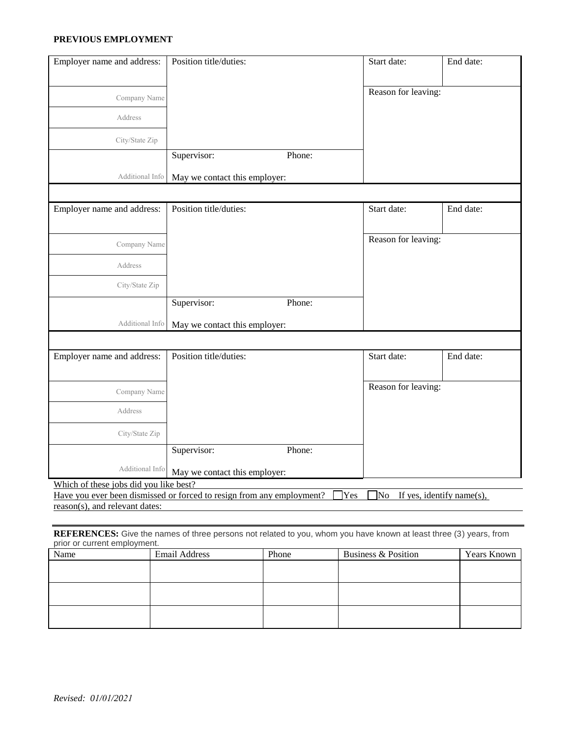#### **PREVIOUS EMPLOYMENT**

| Employer name and address:                                                                                                                     | Position title/duties:        |        | Start date:         | End date: |
|------------------------------------------------------------------------------------------------------------------------------------------------|-------------------------------|--------|---------------------|-----------|
| Company Name                                                                                                                                   |                               |        | Reason for leaving: |           |
| Address                                                                                                                                        |                               |        |                     |           |
| City/State Zip                                                                                                                                 |                               |        |                     |           |
|                                                                                                                                                | Supervisor:                   | Phone: |                     |           |
| Additional Info                                                                                                                                | May we contact this employer: |        |                     |           |
|                                                                                                                                                |                               |        |                     |           |
| Employer name and address:                                                                                                                     | Position title/duties:        |        | Start date:         | End date: |
| Company Name                                                                                                                                   |                               |        | Reason for leaving: |           |
| Address                                                                                                                                        |                               |        |                     |           |
| City/State Zip                                                                                                                                 |                               |        |                     |           |
|                                                                                                                                                | Supervisor:                   | Phone: |                     |           |
| Additional Info                                                                                                                                | May we contact this employer: |        |                     |           |
|                                                                                                                                                |                               |        |                     |           |
| Employer name and address:                                                                                                                     | Position title/duties:        |        | Start date:         | End date: |
| Company Name                                                                                                                                   |                               |        | Reason for leaving: |           |
| Address                                                                                                                                        |                               |        |                     |           |
| City/State Zip                                                                                                                                 |                               |        |                     |           |
|                                                                                                                                                | Supervisor:                   | Phone: |                     |           |
| Additional Info                                                                                                                                | May we contact this employer: |        |                     |           |
| Which of these jobs did you like best?                                                                                                         |                               |        |                     |           |
| Have you ever been dismissed or forced to resign from any employment?<br>Yes<br>No If yes, identify name(s),<br>reason(s), and relevant dates: |                               |        |                     |           |

**REFERENCES:** Give the names of three persons not related to you, whom you have known at least three (3) years, from prior or current employment.

| Name | Email Address | Phone | Business & Position | <b>Years Known</b> |
|------|---------------|-------|---------------------|--------------------|
|      |               |       |                     |                    |
|      |               |       |                     |                    |
|      |               |       |                     |                    |
|      |               |       |                     |                    |
|      |               |       |                     |                    |
|      |               |       |                     |                    |